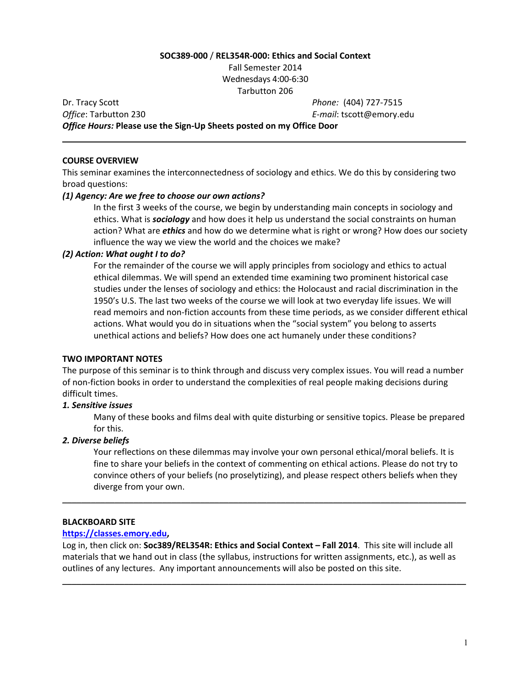## **SOC389-000** / **REL354R-000: Ethics and Social Context**

Fall Semester 2014 Wednesdays 4:00-6:30 Tarbutton 206

\_\_\_\_\_\_\_\_\_\_\_\_\_\_\_\_\_\_\_\_\_\_\_\_\_\_\_\_\_\_\_\_\_\_\_\_\_\_\_\_\_\_\_\_\_\_\_\_\_\_\_\_\_\_\_\_\_\_\_\_\_\_\_\_\_\_\_\_\_\_\_\_\_\_\_\_\_\_\_\_\_\_\_\_\_

Dr. Tracy Scott *Phone:* (404) 727-7515 **Office:** Tarbutton 230 *E-mail:* **tscott@emory.edu** *Office Hours:* **Please use the Sign-Up Sheets posted on my Office Door** 

### **COURSE OVERVIEW**

This seminar examines the interconnectedness of sociology and ethics. We do this by considering two broad questions:

# *(1) Agency: Are we free to choose our own actions?*

In the first 3 weeks of the course, we begin by understanding main concepts in sociology and ethics. What is **sociology** and how does it help us understand the social constraints on human action? What are *ethics* and how do we determine what is right or wrong? How does our society influence the way we view the world and the choices we make?

## *(2) Action: What ought I to do?*

For the remainder of the course we will apply principles from sociology and ethics to actual ethical dilemmas. We will spend an extended time examining two prominent historical case studies under the lenses of sociology and ethics: the Holocaust and racial discrimination in the 1950's U.S. The last two weeks of the course we will look at two everyday life issues. We will read memoirs and non-fiction accounts from these time periods, as we consider different ethical actions. What would you do in situations when the "social system" you belong to asserts unethical actions and beliefs? How does one act humanely under these conditions?

# **TWO IMPORTANT NOTES**

The purpose of this seminar is to think through and discuss very complex issues. You will read a number of non-fiction books in order to understand the complexities of real people making decisions during difficult times.

# *1. Sensitive issues*

Many of these books and films deal with quite disturbing or sensitive topics. Please be prepared for this.

# *2. Diverse beliefs*

Your reflections on these dilemmas may involve your own personal ethical/moral beliefs. It is fine to share your beliefs in the context of commenting on ethical actions. Please do not try to convince others of your beliefs (no proselytizing), and please respect others beliefs when they diverge from your own.

### **BLACKBOARD SITE**

### **https://classes.emory.edu,**

Log in, then click on: Soc389/REL354R: Ethics and Social Context - Fall 2014. This site will include all materials that we hand out in class (the syllabus, instructions for written assignments, etc.), as well as outlines of any lectures. Any important announcements will also be posted on this site.

\_\_\_\_\_\_\_\_\_\_\_\_\_\_\_\_\_\_\_\_\_\_\_\_\_\_\_\_\_\_\_\_\_\_\_\_\_\_\_\_\_\_\_\_\_\_\_\_\_\_\_\_\_\_\_\_\_\_\_\_\_\_\_\_\_\_\_\_\_\_\_\_\_\_\_\_\_\_\_\_\_\_\_\_\_

\_\_\_\_\_\_\_\_\_\_\_\_\_\_\_\_\_\_\_\_\_\_\_\_\_\_\_\_\_\_\_\_\_\_\_\_\_\_\_\_\_\_\_\_\_\_\_\_\_\_\_\_\_\_\_\_\_\_\_\_\_\_\_\_\_\_\_\_\_\_\_\_\_\_\_\_\_\_\_\_\_\_\_\_\_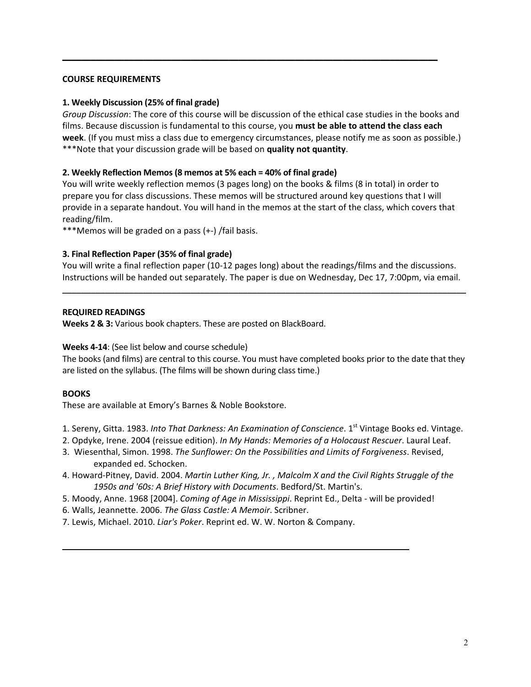### **COURSE REQUIREMENTS**

## **1. Weekly Discussion (25% of final grade)**

*Group Discussion*: The core of this course will be discussion of the ethical case studies in the books and films. Because discussion is fundamental to this course, you must be able to attend the class each week. (If you must miss a class due to emergency circumstances, please notify me as soon as possible.) \*\*\*Note that your discussion grade will be based on quality not quantity.

\_\_\_\_\_\_\_\_\_\_\_\_\_\_\_\_\_\_\_\_\_\_\_\_\_\_\_\_\_\_\_\_\_\_\_\_\_\_\_\_\_\_\_\_\_\_\_\_\_\_\_\_\_\_\_\_\_\_\_\_\_\_\_\_\_\_\_\_\_\_\_\_\_\_\_\_\_\_\_

## **2. Weekly Reflection Memos (8 memos at 5% each = 40% of final grade)**

You will write weekly reflection memos (3 pages long) on the books & films (8 in total) in order to prepare you for class discussions. These memos will be structured around key questions that I will provide in a separate handout. You will hand in the memos at the start of the class, which covers that reading/film. 

\*\*\*Memos will be graded on a pass (+-) /fail basis.

# **3. Final Reflection Paper (35% of final grade)**

You will write a final reflection paper (10-12 pages long) about the readings/films and the discussions. Instructions will be handed out separately. The paper is due on Wednesday, Dec 17, 7:00pm, via email.

\_\_\_\_\_\_\_\_\_\_\_\_\_\_\_\_\_\_\_\_\_\_\_\_\_\_\_\_\_\_\_\_\_\_\_\_\_\_\_\_\_\_\_\_\_\_\_\_\_\_\_\_\_\_\_\_\_\_\_\_\_\_\_\_\_\_\_\_\_\_\_\_\_\_\_\_\_\_\_\_\_\_\_\_\_

## **REQUIRED READINGS**

**Weeks 2 & 3:** Various book chapters. These are posted on BlackBoard.

# **Weeks 4-14:** (See list below and course schedule)

The books (and films) are central to this course. You must have completed books prior to the date that they are listed on the syllabus. (The films will be shown during class time.)

# **BOOKS**

These are available at Emory's Barnes & Noble Bookstore.

- 1. Sereny, Gitta. 1983. *Into That Darkness: An Examination of Conscience*. 1<sup>st</sup> Vintage Books ed. Vintage.
- 2. Opdyke, Irene. 2004 (reissue edition). *In My Hands: Memories of a Holocaust Rescuer*. Laural Leaf.
- 3. Wiesenthal, Simon. 1998. *The Sunflower: On the Possibilities and Limits of Forgiveness*. Revised, expanded ed. Schocken.
- 4. Howard-Pitney, David. 2004. *Martin Luther King, Jr., Malcolm X and the Civil Rights Struggle of the* 1950s and '60s: A Brief History with Documents. Bedford/St. Martin's.
- 5. Moody, Anne. 1968 [2004]. *Coming of Age in Mississippi*. Reprint Ed., Delta will be provided!

\_\_\_\_\_\_\_\_\_\_\_\_\_\_\_\_\_\_\_\_\_\_\_\_\_\_\_\_\_\_\_\_\_\_\_\_\_\_\_\_\_\_\_\_\_\_\_\_\_\_\_\_\_\_\_\_\_\_\_\_\_\_\_\_\_\_\_\_\_\_\_\_\_

- 6. Walls, Jeannette. 2006. The Glass Castle: A Memoir. Scribner.
- 7. Lewis, Michael. 2010. *Liar's Poker*. Reprint ed. W. W. Norton & Company.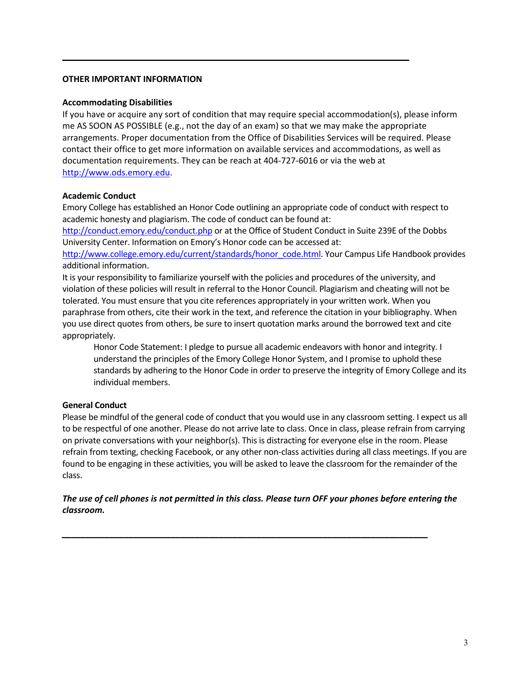## **OTHER IMPORTANT INFORMATION**

### **Accommodating Disabilities**

If you have or acquire any sort of condition that may require special accommodation(s), please inform me AS SOON AS POSSIBLE (e.g., not the day of an exam) so that we may make the appropriate arrangements. Proper documentation from the Office of Disabilities Services will be required. Please contact their office to get more information on available services and accommodations, as well as documentation requirements. They can be reach at 404-727-6016 or via the web at http://www.ods.emory.edu.

\_\_\_\_\_\_\_\_\_\_\_\_\_\_\_\_\_\_\_\_\_\_\_\_\_\_\_\_\_\_\_\_\_\_\_\_\_\_\_\_\_\_\_\_\_\_\_\_\_\_\_\_\_\_\_\_\_\_\_\_\_\_\_\_\_\_\_\_\_\_\_\_\_

# **Academic Conduct**

Emory College has established an Honor Code outlining an appropriate code of conduct with respect to academic honesty and plagiarism. The code of conduct can be found at:

http://conduct.emory.edu/conduct.php or at the Office of Student Conduct in Suite 239E of the Dobbs University Center. Information on Emory's Honor code can be accessed at:

http://www.college.emory.edu/current/standards/honor\_code.html. Your Campus Life Handbook provides additional information.

It is your responsibility to familiarize yourself with the policies and procedures of the university, and violation of these policies will result in referral to the Honor Council. Plagiarism and cheating will not be tolerated. You must ensure that you cite references appropriately in your written work. When you paraphrase from others, cite their work in the text, and reference the citation in your bibliography. When you use direct quotes from others, be sure to insert quotation marks around the borrowed text and cite appropriately.

Honor Code Statement: I pledge to pursue all academic endeavors with honor and integrity. I understand the principles of the Emory College Honor System, and I promise to uphold these standards by adhering to the Honor Code in order to preserve the integrity of Emory College and its individual members.

# **General Conduct**

Please be mindful of the general code of conduct that you would use in any classroom setting. I expect us all to be respectful of one another. Please do not arrive late to class. Once in class, please refrain from carrying on private conversations with your neighbor(s). This is distracting for everyone else in the room. Please refrain from texting, checking Facebook, or any other non-class activities during all class meetings. If you are found to be engaging in these activities, you will be asked to leave the classroom for the remainder of the class.

The use of cell phones is not permitted in this class. Please turn OFF your phones before entering the *classroom.*

*\_\_\_\_\_\_\_\_\_\_\_\_\_\_\_\_\_\_\_\_\_\_\_\_\_\_\_\_\_\_\_\_\_\_\_\_\_\_\_\_\_\_\_\_\_\_\_\_\_\_\_\_\_\_\_\_\_\_\_\_\_\_\_\_\_\_\_\_\_\_\_\_\_\_\_\_\_*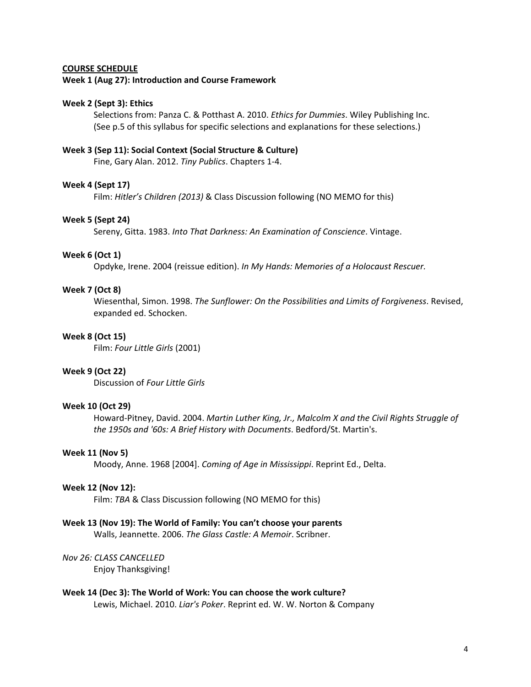### **COURSE SCHEDULE**

#### **Week 1 (Aug 27): Introduction and Course Framework**

### **Week 2 (Sept 3): Ethics**

Selections from: Panza C. & Potthast A. 2010. *Ethics for Dummies*. Wiley Publishing Inc. (See p.5 of this syllabus for specific selections and explanations for these selections.)

#### Week 3 (Sep 11): Social Context (Social Structure & Culture)

Fine, Gary Alan. 2012. *Tiny Publics*. Chapters 1-4.

#### **Week 4 (Sept 17)**

Film: *Hitler's Children (2013)* & Class Discussion following (NO MEMO for this)

### **Week 5 (Sept 24)**

Sereny, Gitta. 1983. Into That Darkness: An Examination of Conscience. Vintage.

### **Week 6 (Oct 1)**

Opdyke, Irene. 2004 (reissue edition). In My Hands: Memories of a Holocaust Rescuer.

### **Week 7 (Oct 8)**

Wiesenthal, Simon. 1998. *The Sunflower: On the Possibilities and Limits of Forgiveness*. Revised, expanded ed. Schocken.

### **Week 8 (Oct 15)**

Film: Four Little Girls (2001)

### **Week 9 (Oct 22)**

Discussion of *Four Little Girls*

## **Week 10 (Oct 29)**

Howard-Pitney, David. 2004. Martin Luther King, Jr., Malcolm X and the Civil Rights Struggle of the 1950s and '60s: A Brief History with Documents. Bedford/St. Martin's.

### **Week 11 (Nov 5)**

Moody, Anne. 1968 [2004]. *Coming of Age in Mississippi*. Reprint Ed., Delta.

#### **Week 12 (Nov 12):**

Film: TBA & Class Discussion following (NO MEMO for this)

### Week 13 (Nov 19): The World of Family: You can't choose your parents

Walls, Jeannette. 2006. The Glass Castle: A Memoir. Scribner.

## *Nov 26: CLASS CANCELLED*

Enjoy Thanksgiving!

## Week 14 (Dec 3): The World of Work: You can choose the work culture? Lewis, Michael. 2010. *Liar's Poker*. Reprint ed. W. W. Norton & Company